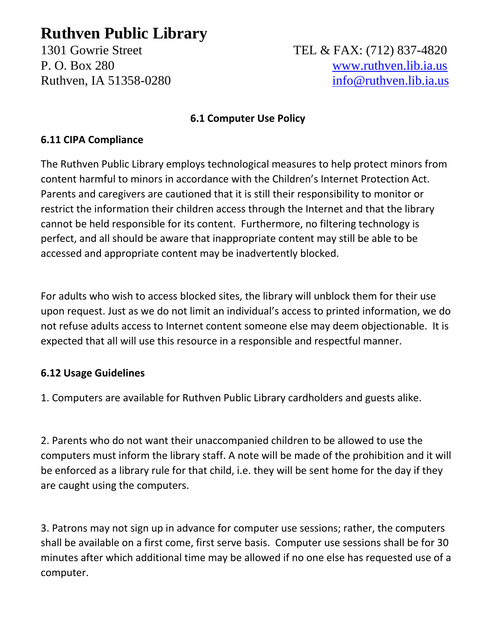# **Ruthven Public Library**

## 1301 Gowrie Street TEL & FAX: (712) 837-4820 P. O. Box 280 [www.ruthven.lib.ia.us](http://www.ruthven.lib.ia.us/) Ruthven, IA 51358-0280 [info@ruthven.lib.ia.us](mailto:info@ruthven.lib.ia.us)

#### **6.1 Computer Use Policy**

#### **6.11 CIPA Compliance**

The Ruthven Public Library employs technological measures to help protect minors from content harmful to minors in accordance with the Children's Internet Protection Act. Parents and caregivers are cautioned that it is still their responsibility to monitor or restrict the information their children access through the Internet and that the library cannot be held responsible for its content. Furthermore, no filtering technology is perfect, and all should be aware that inappropriate content may still be able to be accessed and appropriate content may be inadvertently blocked.

For adults who wish to access blocked sites, the library will unblock them for their use upon request. Just as we do not limit an individual's access to printed information, we do not refuse adults access to Internet content someone else may deem objectionable. It is expected that all will use this resource in a responsible and respectful manner.

### **6.12 Usage Guidelines**

1. Computers are available for Ruthven Public Library cardholders and guests alike.

2. Parents who do not want their unaccompanied children to be allowed to use the computers must inform the library staff. A note will be made of the prohibition and it will be enforced as a library rule for that child, i.e. they will be sent home for the day if they are caught using the computers.

3. Patrons may not sign up in advance for computer use sessions; rather, the computers shall be available on a first come, first serve basis. Computer use sessions shall be for 30 minutes after which additional time may be allowed if no one else has requested use of a computer.